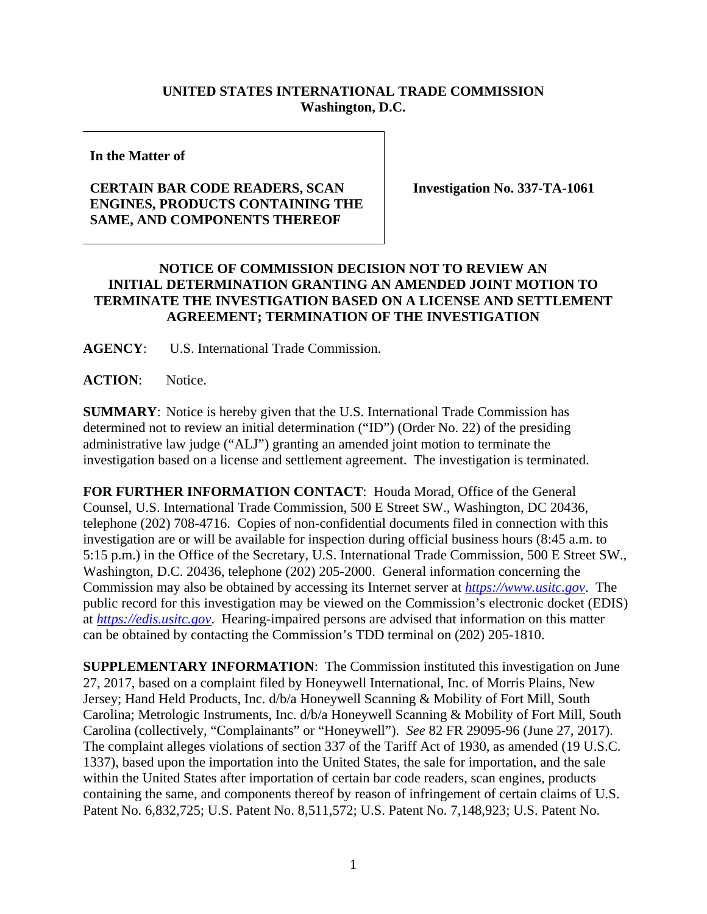## **UNITED STATES INTERNATIONAL TRADE COMMISSION Washington, D.C.**

**In the Matter of** 

## **CERTAIN BAR CODE READERS, SCAN ENGINES, PRODUCTS CONTAINING THE SAME, AND COMPONENTS THEREOF**

**Investigation No. 337-TA-1061** 

## **NOTICE OF COMMISSION DECISION NOT TO REVIEW AN INITIAL DETERMINATION GRANTING AN AMENDED JOINT MOTION TO TERMINATE THE INVESTIGATION BASED ON A LICENSE AND SETTLEMENT AGREEMENT; TERMINATION OF THE INVESTIGATION**

**AGENCY**: U.S. International Trade Commission.

ACTION: Notice.

**SUMMARY**: Notice is hereby given that the U.S. International Trade Commission has determined not to review an initial determination ("ID") (Order No. 22) of the presiding administrative law judge ("ALJ") granting an amended joint motion to terminate the investigation based on a license and settlement agreement. The investigation is terminated.

**FOR FURTHER INFORMATION CONTACT**: Houda Morad, Office of the General Counsel, U.S. International Trade Commission, 500 E Street SW., Washington, DC 20436, telephone (202) 708-4716. Copies of non-confidential documents filed in connection with this investigation are or will be available for inspection during official business hours (8:45 a.m. to 5:15 p.m.) in the Office of the Secretary, U.S. International Trade Commission, 500 E Street SW., Washington, D.C. 20436, telephone (202) 205-2000. General information concerning the Commission may also be obtained by accessing its Internet server at *https://www.usitc.gov*. The public record for this investigation may be viewed on the Commission's electronic docket (EDIS) at *https://edis.usitc.gov*. Hearing-impaired persons are advised that information on this matter can be obtained by contacting the Commission's TDD terminal on (202) 205-1810.

**SUPPLEMENTARY INFORMATION**: The Commission instituted this investigation on June 27, 2017, based on a complaint filed by Honeywell International, Inc. of Morris Plains, New Jersey; Hand Held Products, Inc. d/b/a Honeywell Scanning & Mobility of Fort Mill, South Carolina; Metrologic Instruments, Inc. d/b/a Honeywell Scanning & Mobility of Fort Mill, South Carolina (collectively, "Complainants" or "Honeywell"). *See* 82 FR 29095-96 (June 27, 2017). The complaint alleges violations of section 337 of the Tariff Act of 1930, as amended (19 U.S.C. 1337), based upon the importation into the United States, the sale for importation, and the sale within the United States after importation of certain bar code readers, scan engines, products containing the same, and components thereof by reason of infringement of certain claims of U.S. Patent No. 6,832,725; U.S. Patent No. 8,511,572; U.S. Patent No. 7,148,923; U.S. Patent No.